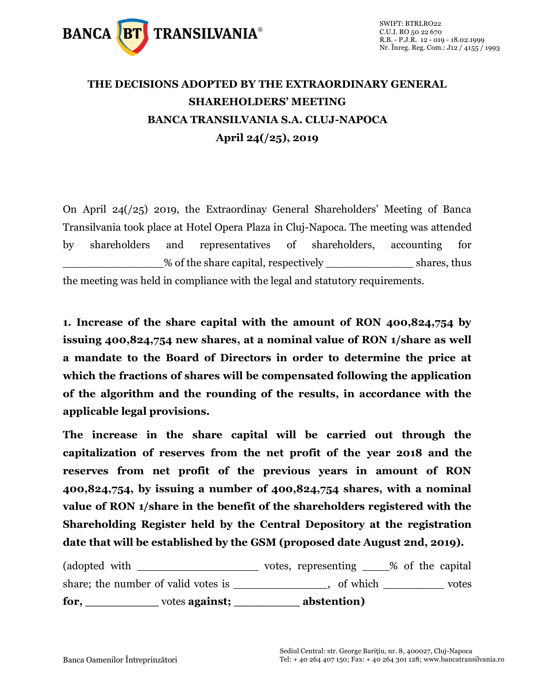

## **THE DECISIONS ADOPTED BY THE EXTRAORDINARY GENERAL SHAREHOLDERS' MEETING BANCA TRANSILVANIA S.A. CLUJ-NAPOCA April 24(/25), 2019**

On April 24(/25) 2019, the Extraordinay General Shareholders' Meeting of Banca Transilvania took place at Hotel Opera Plaza in Cluj-Napoca. The meeting was attended by shareholders and representatives of shareholders, accounting for % of the share capital, respectively shares, thus the meeting was held in compliance with the legal and statutory requirements.

**1. Increase of the share capital with the amount of RON 400,824,754 by issuing 400,824,754 new shares, at a nominal value of RON 1/share as well a mandate to the Board of Directors in order to determine the price at which the fractions of shares will be compensated following the application of the algorithm and the rounding of the results, in accordance with the applicable legal provisions.** 

**The increase in the share capital will be carried out through the capitalization of reserves from the net profit of the year 2018 and the reserves from net profit of the previous years in amount of RON 400,824,754, by issuing a number of 400,824,754 shares, with a nominal value of RON 1/share in the benefit of the shareholders registered with the Shareholding Register held by the Central Depository at the registration date that will be established by the GSM (proposed date August 2nd, 2019).**

| for.                                | votes against; | abstention)         |                  |       |
|-------------------------------------|----------------|---------------------|------------------|-------|
| share; the number of valid votes is |                | of which            |                  | votes |
| (adopted with                       |                | votes, representing | % of the capital |       |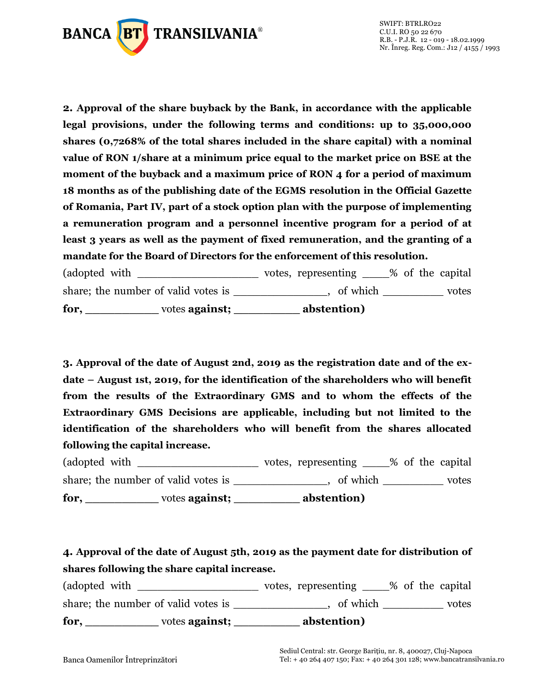

**2. Approval of the share buyback by the Bank, in accordance with the applicable legal provisions, under the following terms and conditions: up to 35,000,000 shares (0,7268% of the total shares included in the share capital) with a nominal value of RON 1/share at a minimum price equal to the market price on BSE at the moment of the buyback and a maximum price of RON 4 for a period of maximum 18 months as of the publishing date of the EGMS resolution in the Official Gazette of Romania, Part IV, part of a stock option plan with the purpose of implementing a remuneration program and a personnel incentive program for a period of at least 3 years as well as the payment of fixed remuneration, and the granting of a mandate for the Board of Directors for the enforcement of this resolution.**

(adopted with \_\_\_\_\_\_\_\_\_\_\_\_\_\_\_\_\_\_\_\_\_\_\_\_\_\_ votes, representing \_\_\_\_\_% of the capital share; the number of valid votes is example the number of valid votes is the state of votes of which  $\sim$ **for, \_\_\_\_\_\_\_\_\_\_** votes **against; \_\_\_\_\_\_\_\_\_ abstention)**

**3. Approval of the date of August 2nd, 2019 as the registration date and of the exdate – August 1st, 2019, for the identification of the shareholders who will benefit from the results of the Extraordinary GMS and to whom the effects of the Extraordinary GMS Decisions are applicable, including but not limited to the identification of the shareholders who will benefit from the shares allocated following the capital increase.**

(adopted with \_\_\_\_\_\_\_\_\_\_\_\_\_\_\_\_\_\_\_\_\_\_\_ votes, representing \_\_\_\_% of the capital share; the number of valid votes is \_\_\_\_\_\_\_\_\_\_\_\_, of which \_\_\_\_\_\_\_\_\_\_ votes **for, \_\_\_\_\_\_\_\_\_\_** votes **against; \_\_\_\_\_\_\_\_\_ abstention)**

**4. Approval of the date of August 5th, 2019 as the payment date for distribution of shares following the share capital increase.**

(adopted with \_\_\_\_\_\_\_\_\_\_\_\_\_\_\_\_\_\_\_\_\_\_\_\_ votes, representing \_\_\_\_% of the capital share; the number of valid votes is \_\_\_\_\_\_\_\_\_\_\_\_\_, of which \_\_\_\_\_\_\_\_\_\_ votes **for, \_\_\_\_\_\_\_\_\_\_** votes **against; \_\_\_\_\_\_\_\_\_ abstention)**